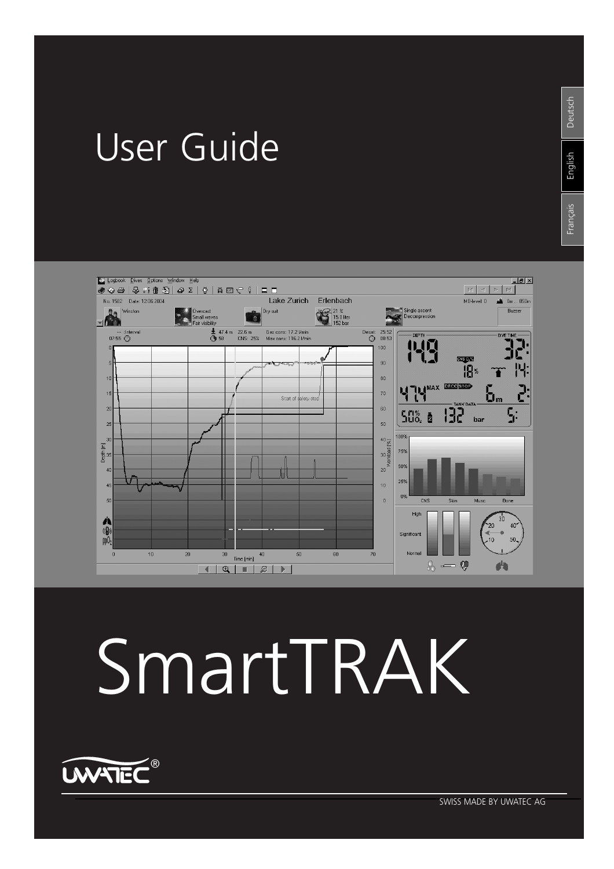# User Guide



# SmartTRAK

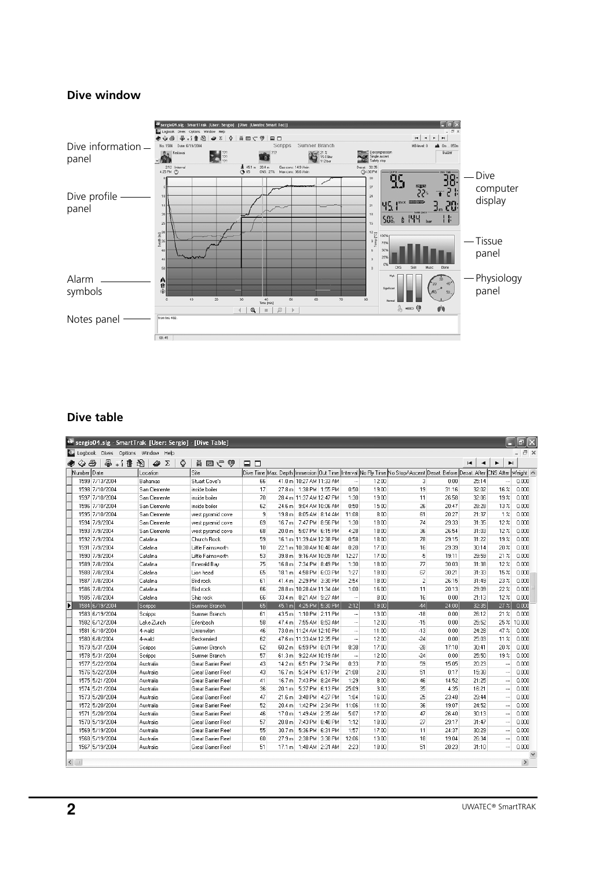## **Dive window**



# **Dive table**

|                                              | sergio04.slg - SmartTrak [User: Sergio] - [Dive Table] |                           |        |                   |                            |         |          |       |                                                                                                                         |       |         |                 | F     |
|----------------------------------------------|--------------------------------------------------------|---------------------------|--------|-------------------|----------------------------|---------|----------|-------|-------------------------------------------------------------------------------------------------------------------------|-------|---------|-----------------|-------|
|                                              | Logbook Dives Options Window Help                      |                           |        |                   |                            |         |          |       |                                                                                                                         |       |         |                 | F x   |
| ఈ<br>a.                                      | 阖<br>4<br>Σ                                            | Ö<br>しつ 国 直               | $\Box$ |                   |                            |         |          |       |                                                                                                                         |       | H,<br>٠ | ►<br>ы          |       |
| Number Date                                  | Location                                               | Site                      |        |                   |                            |         |          |       | Dive Time Max. Depth Immersion Out Time Interval No Fly Time No Stop/Ascent Desat. Before Desat. After CNS After Weight |       |         |                 |       |
| 1599 7/13/2004                               | Bahamas                                                | Stuart Cove's             | 66     |                   | 41.0 m 10:27 AM 11:33 AM   |         |          | 12:00 | 3                                                                                                                       | 0:00  | 25:14   |                 | 0.000 |
| 1598 7/10/2004                               | San Clemente                                           | inside boiler             | 17     |                   | 27.8 m   1:38 PM   1:55 PM |         | 0:50     | 19:00 | 19                                                                                                                      | 31:16 | 32:02   | $16\%$          | 0.000 |
| 1597 7/10/2004                               | San Clemente                                           | inside boiler             | 70     |                   | 28.4 m 11:37 AM 12:47 PM   |         | 1:30     | 19:00 | 11                                                                                                                      | 26:58 | 32:06   | 19 <sup>2</sup> | 0.000 |
| 1596 7/10/2004                               | San Clemente                                           | inside boiler             | 62     | 24.6 m            | 9:04 AM 10:06 AM           |         | 0:50     | 15:00 | 26                                                                                                                      | 20:47 | 28:28   | 13 <sup>2</sup> | 0.000 |
| 1595 7/10/2004                               | San Clemente                                           | west pyramid cove         | 9      | 19.8 m            | 8:05 AM 8:14 AM            |         | 11:08    | 8:00  | 61                                                                                                                      | 20:27 | 21:37   | $1\%$           | 0.000 |
| 1594 7/9/2004                                | San Clemente                                           | west pyramid cove         | 69     | 16.7 m            | 7:47 PM 8:56 PM            |         | 1:30     | 18:00 | 74                                                                                                                      | 29:33 | 31:35   | 12 <sup>2</sup> | 0.000 |
| 1593 7/9/2004                                | San Clemente                                           | west pyramid cove         | 68     | 20.0 m            | 5:07 PM 6:15 PM            |         | 4:28     | 18:00 | 36                                                                                                                      | 26:54 | 31:03   | 12 <sup>2</sup> | 0.000 |
| 1592 7/9/2004                                | Catalina                                               | Church Rock               | 59     |                   | 16.1 m 11:39 AM 12:38 PM   |         | 0:58     | 18:00 | 78                                                                                                                      | 29:15 | 31:22   | 19 <sup>2</sup> | 0.000 |
| 1591 7/9/2004                                | Catalina                                               | Little Fairnsworth        | 10     |                   | 22.1 m 10:30 AM 10:40 AM   |         | 0:20     | 17:00 | 16                                                                                                                      | 29:39 | 30:14   | 20 <sup>2</sup> | 0.000 |
| 1590 7/9/2004                                | Catalina                                               | Little Fairnsworth        | 53     | 39.8 m            | 9:16 AM 10:09 AM           |         | 12:27    | 17:00 | -5                                                                                                                      | 19:11 | 29:59   | 21%             | 0.000 |
| 1589 7/8/2004                                | Catalina                                               | Emerald Bav               | 75     | 16.8 m            | 7:34 PM 8:49 PM            |         | 1:30     | 18:00 | 77                                                                                                                      | 30:03 | 31:38   | 12 <sup>2</sup> | 0.000 |
| 1588 7/8/2004                                | Catalina                                               | Lion head                 | 65     | 18.1 m            | 4:58 PM 6:03 PM            |         | 1:27     | 18:00 | 67                                                                                                                      | 30:21 | 31:33   | 15 <sub>2</sub> | 0.000 |
| 1587 7/8/2004                                | Catalina                                               | Bird rock                 | 61     | 41.4 m            | 2:29 PM 3:30 PM            |         | 2:54     | 18:00 | $\overline{c}$                                                                                                          | 26:15 | 31:49   | 23 <sup>2</sup> | 0.000 |
| 1586 7/8/2004                                | Catalina                                               | Bird rock                 | 66     |                   | 28.8 m 10:28 AM 11:34 AM   |         | 1:00     | 16:00 | 11                                                                                                                      | 20:13 | 29:09   | 22%             | 0.000 |
| 1585 7/8/2004                                | Catalina                                               | Ship rock                 | 66     |                   | 33.4 m 8.21 AM 9:27 AM     |         | $\cdots$ | 8:00  | 16                                                                                                                      | 0:00  | 21:13   | 12.%            | 0.000 |
| 1584 6/19/2004                               | Scripps                                                | Sumner Branch             | 65     |                   | 45.1 m 4:25 PM 5:30 PM     |         | 2:12     | 19:00 | $-44$                                                                                                                   | 24:00 | 32:35   | 27%             | 0.000 |
| 1583 6/19/2004                               | Scripps                                                | Sumner Branch             | 61     |                   | 43.5 m 1:10 PM 2:11 PM     |         |          | 13:00 | $-18$                                                                                                                   | 0:00  | 26:12   | 21 <sup>2</sup> | 0.000 |
| 1582 6/12/2004                               | Lake Zurich                                            | Erlenbach                 | 58     | 47.4 m            | 7:55 AM 8:53 AM            |         |          | 12:00 | $-15$                                                                                                                   | 0:00  | 25:52   | 25 % 10.000     |       |
| 1581 6/10/2004                               | 4-wald                                                 | Unterwilen                | 46     |                   | 73.0 m 11:24 AM 12:10 PM   |         |          | 11:00 | $-13$                                                                                                                   | 0:00  | 24:28   | 47%             | 0.000 |
| 1580 6/8/2004                                | 4-wald                                                 | Beckenried                | 62     |                   | 47.6 m 11:33 AM 12:35 PM   |         |          | 12:00 | $-24$                                                                                                                   | 0:00  | 25:03   | 11 <sup>2</sup> | 0.000 |
| 1579 5/31/2004                               | Scripps                                                | Sumner Branch             | 62     | 60.2 m            | 6:59 PM 8:01 PM            |         | 8:38     | 17:00 | $-28$                                                                                                                   | 17:10 | 30:41   | 20 <sup>2</sup> | 0.000 |
| 1578 5/31/2004                               | Scripps                                                | Sumner Branch             | 57     | 61.3 m            | 9:22 AM 10:19 AM           |         |          | 12:00 | $-24$                                                                                                                   | 0:00  | 25:50   | 19 <sup>2</sup> | 0.000 |
| 1577 5/22/2004                               | Australia                                              | <b>Great Barrier Reef</b> | 43     | 14.2 m            | 6:51 PM 7:34 PM            |         | 0:33     | 7:00  | 59                                                                                                                      | 15:05 | 20:23   |                 | 0.000 |
| 1576 5/22/2004                               | Australia                                              | <b>Great Barrier Reef</b> | 43     | 16.7 m            | 5:34 PM 6:17 PM            |         | 21:08    | 2:00  | 51                                                                                                                      | 0:17  | 15:38   |                 | 0.000 |
| 1575 5/21/2004                               | Australia                                              | Great Barrier Reef        | 41     | 16.7 m            | 7:43 PM 8:24 PM            |         | 1:29     | 8:00  | 46                                                                                                                      | 14:52 | 21:25   |                 | 0.000 |
| 1574 5/21/2004                               | Australia                                              | <b>Great Barrier Reef</b> | 36     | 20.1 m            | 5:37 PM 6:13 PM            |         | 25:09    | 3:00  | 35                                                                                                                      | 4:35  | 16:21   |                 | 0.000 |
| 1573 5/20/2004                               | Australia                                              | <b>Great Barrier Reef</b> | 47     | 21.6 m            | 3:40 PM 4:27 PM            |         | 1:04     | 16:00 | 25                                                                                                                      | 23:48 | 29:44   |                 | 0.000 |
| 1572 5/20/2004                               | Australia                                              | <b>Great Barrier Reef</b> | 52     | 20.4 m            | 1:42 PM                    | 2:34 PM | 11:06    | 11:00 | 36                                                                                                                      | 19:07 | 24:52   |                 | 0.000 |
| 1571 5/20/2004                               | Australia                                              | <b>Great Barrier Reef</b> | 46     | 17.0 <sub>m</sub> | 1:49 AM 2:35 AM            |         | 5:07     | 17:00 | 47                                                                                                                      | 26:40 | 30:13   |                 | 0.000 |
| 1570 5/19/2004                               | Australia                                              | Great Barrier Reef        | 57     | 20.8 m            | 7:43 PM 8:40 PM            |         | 1:12     | 18:00 | 27                                                                                                                      | 29:17 | 31:47   |                 | 0.000 |
| 1569 5/19/2004                               | Australia                                              | Great Barrier Reef        | 55     | 30.7 <sub>m</sub> | 5:36 PM 6:31 PM            |         | 1:57     | 17:00 | 11                                                                                                                      | 24:37 | 30:29   |                 | 0.000 |
| 1568 5/19/2004                               | Australia                                              | Great Barrier Reef        | 60     | 27.9 m            | 2:38 PM 3:38 PM            |         | 12:06    | 13:00 | 18                                                                                                                      | 19:04 | 26:34   |                 | 0.000 |
| 1567 5/19/2004                               | Australia                                              | Great Barrier Reef        | 51     | 17.1 m            | 1:40 AM 2:31 AM            |         | 2:23     | 18:00 | 51                                                                                                                      | 28:23 | 31:10   |                 | 0.000 |
| $\blacktriangleleft$<br>$\boxed{\text{III}}$ |                                                        |                           |        |                   |                            |         |          |       |                                                                                                                         |       |         |                 |       |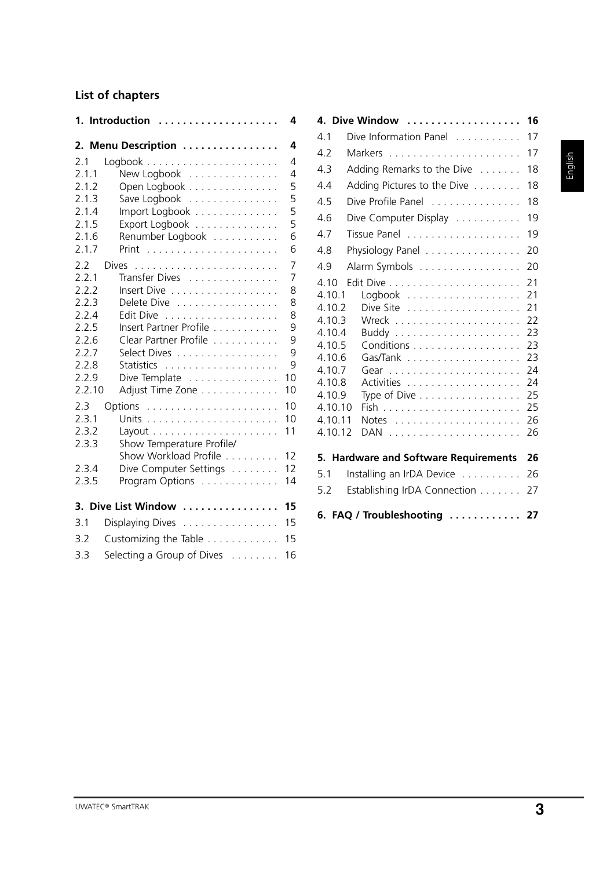# **List of chapters**

|                                                                                                | 1. Introduction                                                                                                                                                                 | 4                                                     |  |  |
|------------------------------------------------------------------------------------------------|---------------------------------------------------------------------------------------------------------------------------------------------------------------------------------|-------------------------------------------------------|--|--|
|                                                                                                | 2. Menu Description                                                                                                                                                             | 4                                                     |  |  |
| 2.1<br>2.1.1<br>2.1.2<br>2.1.3<br>2.1.4<br>2.1.5<br>2.1.6<br>2.1.7                             | New Logbook<br>Open Logbook<br>Save Logbook<br>Import Logbook<br>Export Logbook<br>Renumber Logbook<br>Print                                                                    | 4<br>4<br>5<br>5<br>5<br>5<br>6<br>6                  |  |  |
| 2.2<br>2.2.1<br>2.2.2<br>2.2.3<br>2.2.4<br>2.2.5<br>2.2.6<br>2.2.7<br>2.2.8<br>2.2.9<br>2.2.10 | Dives<br>Transfer Dives<br>Insert Dive<br>Delete Dive<br>Edit Dive<br>.<br>Insert Partner Profile<br>Clear Partner Profile<br>Select Dives<br>Dive Template<br>Adjust Time Zone | 7<br>7<br>8<br>8<br>8<br>9<br>9<br>9<br>9<br>10<br>10 |  |  |
| 2.3<br>2.3.1<br>2.3.2<br>2.3.3<br>2.3.4<br>2.3.5                                               | Show Temperature Profile/<br>Show Workload Profile<br>Dive Computer Settings<br>Program Options                                                                                 | 10<br>10<br>11<br>12<br>12<br>14                      |  |  |
|                                                                                                | 3. Dive List Window                                                                                                                                                             | 15                                                    |  |  |
| 3.1                                                                                            | Displaying Dives                                                                                                                                                                | 15                                                    |  |  |
| 3.2<br>3.3                                                                                     | Customizing the Table<br>15                                                                                                                                                     |                                                       |  |  |
|                                                                                                | Selecting a Group of Dives                                                                                                                                                      | 16                                                    |  |  |

|                                                                                                                                 | 4. Dive Window                                                   | 16                                                                         |  |  |  |  |
|---------------------------------------------------------------------------------------------------------------------------------|------------------------------------------------------------------|----------------------------------------------------------------------------|--|--|--|--|
| 4.1                                                                                                                             | Dive Information Panel                                           | 17                                                                         |  |  |  |  |
| 4.2                                                                                                                             | 17                                                               |                                                                            |  |  |  |  |
| 4.3                                                                                                                             | Adding Remarks to the Dive                                       | 18                                                                         |  |  |  |  |
| 4.4                                                                                                                             | Adding Pictures to the Dive                                      | 18                                                                         |  |  |  |  |
| 4.5                                                                                                                             | Dive Profile Panel                                               | 18                                                                         |  |  |  |  |
| 4.6                                                                                                                             | Dive Computer Display                                            | 19                                                                         |  |  |  |  |
| 4.7                                                                                                                             |                                                                  | 19                                                                         |  |  |  |  |
| 4.8                                                                                                                             | Physiology Panel                                                 | 20                                                                         |  |  |  |  |
| 4.9                                                                                                                             | Alarm Symbols                                                    | 20                                                                         |  |  |  |  |
| 4.10<br>4.10.1<br>4.10.2<br>4.10.3<br>4.10.4<br>4.10.5<br>4.10.6<br>4.10.7<br>4.10.8<br>4.10.9<br>4.10.10<br>4.10.11<br>4.10.12 | Conditions<br>Type of Dive $\dots \dots \dots \dots \dots \dots$ | 21<br>21<br>21<br>22<br>23<br>23<br>23<br>24<br>24<br>25<br>25<br>26<br>26 |  |  |  |  |
|                                                                                                                                 | 5. Hardware and Software Requirements                            | 26                                                                         |  |  |  |  |
| 5.1                                                                                                                             | Installing an IrDA Device                                        | 26                                                                         |  |  |  |  |
| 5.2                                                                                                                             | Establishing IrDA Connection                                     | 27                                                                         |  |  |  |  |
|                                                                                                                                 | 6. FAQ / Troubleshooting                                         | 27                                                                         |  |  |  |  |

# English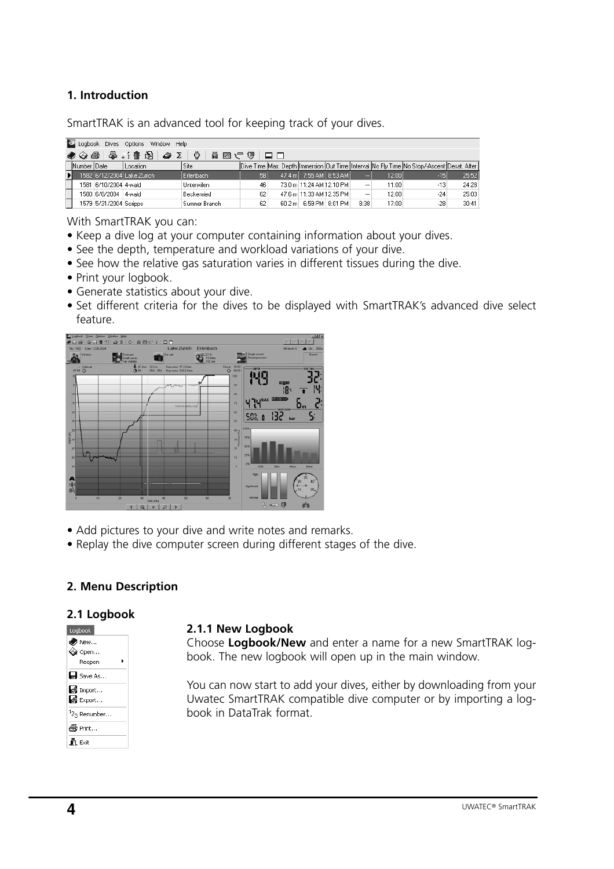# **1. Introduction**

SmartTRAK is an advanced tool for keeping track of your dives.

|             |                        | Logbook Dives Options Window Help                                                                                |                   |    |                            |          |       |                                                                                                    |       |
|-------------|------------------------|------------------------------------------------------------------------------------------------------------------|-------------------|----|----------------------------|----------|-------|----------------------------------------------------------------------------------------------------|-------|
|             |                        | $\diamondsuit \diamondsuit \trianglelefteq$ . $\frac{1}{4}$ . $\frac{1}{16}$ . $\frac{1}{16}$ . $\diamondsuit$ . | FEIV9⊠AIGI        |    |                            |          |       |                                                                                                    |       |
| Number Date |                        | Location                                                                                                         | <sup>1</sup> Site |    |                            |          |       | [Dive Time Max, Depth Ilmmersion IQut Time IInterval INo Fly Time INo Stop/-Ascent IDesat, After I |       |
|             |                        | 1582   6/12/2004   Lake Zurich                                                                                   | Erlenbach         | 58 | 47.4 m   7:55 AM   8:53 AM | $\cdots$ | 12:00 | $-15$                                                                                              | 25:52 |
|             | 1581 6/10/2004 4-wald  |                                                                                                                  | <b>Unterwilen</b> | 46 | 73.0 m 11:24 AM 12:10 PM   |          | 11:00 | -131                                                                                               | 24:28 |
|             | 1580 6/8/2004 4-wald   |                                                                                                                  | Beckenried        | 62 | 47.6 m 11:33 AM 12:35 PM   |          | 12:00 | $-24$                                                                                              | 25:03 |
|             | 1579 5/31/2004 Scripps |                                                                                                                  | Sumner Branch     | 62 | 60.2 m 6:59 PM 8:01 PM     | 8:38     | 17:00 | -28                                                                                                | 30:41 |

With SmartTRAK you can:

- Keep a dive log at your computer containing information about your dives.
- See the depth, temperature and workload variations of your dive.
- See how the relative gas saturation varies in different tissues during the dive.
- Print your logbook.
- Generate statistics about your dive.
- Set different criteria for the dives to be displayed with SmartTRAK's advanced dive select feature.



- Add pictures to your dive and write notes and remarks.
- Replay the dive computer screen during different stages of the dive.

# **2. Menu Description**

#### **2.1 Logbook**

| Logbook                              |
|--------------------------------------|
| A New                                |
| ≪à Open…                             |
| Reopen                               |
| H Save As                            |
| Simport                              |
| de Export                            |
| <sup>1</sup> 2 <sub>3</sub> Renumber |
| 叠 Print                              |
| <b>R</b> Exit                        |
|                                      |

#### **2.1.1 New Logbook**

Choose **Logbook/New** and enter a name for a new SmartTRAK logbook. The new logbook will open up in the main window.

You can now start to add your dives, either by downloading from your Uwatec SmartTRAK compatible dive computer or by importing a logbook in DataTrak format.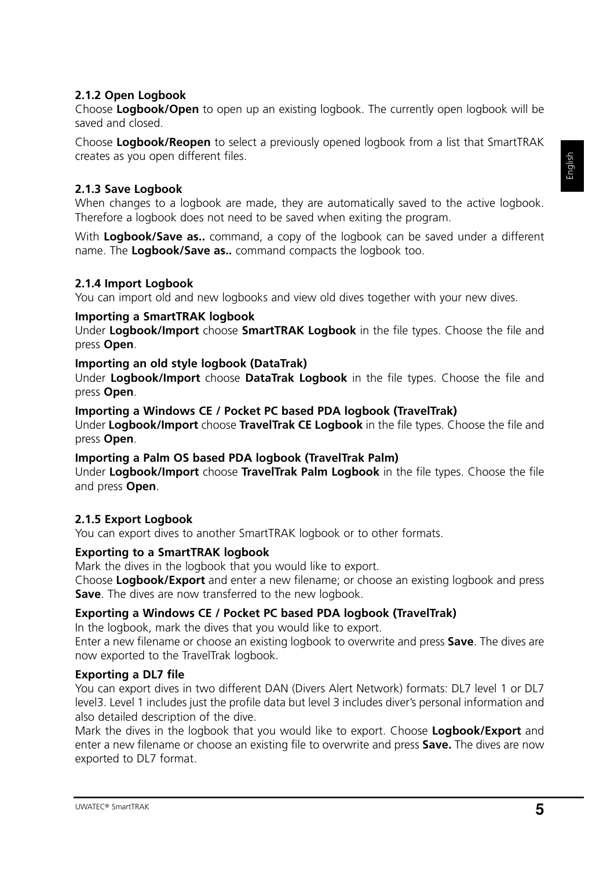# **2.1.2 Open Logbook**

Choose **Logbook/Open** to open up an existing logbook. The currently open logbook will be saved and closed.

Choose **Logbook/Reopen** to select a previously opened logbook from a list that SmartTRAK creates as you open different files.

# **2.1.3 Save Logbook**

When changes to a logbook are made, they are automatically saved to the active logbook. Therefore a logbook does not need to be saved when exiting the program.

With **Logbook/Save as..** command, a copy of the logbook can be saved under a different name. The **Logbook/Save as..** command compacts the logbook too.

# **2.1.4 Import Logbook**

You can import old and new logbooks and view old dives together with your new dives.

# **Importing a SmartTRAK logbook**

Under **Logbook/Import** choose **SmartTRAK Logbook** in the file types. Choose the file and press **Open**.

# **Importing an old style logbook (DataTrak)**

Under **Logbook/Import** choose **DataTrak Logbook** in the file types. Choose the file and press **Open**.

# **Importing a Windows CE / Pocket PC based PDA logbook (TravelTrak)**

Under **Logbook/Import** choose **TravelTrak CE Logbook** in the file types. Choose the file and press **Open**.

# **Importing a Palm OS based PDA logbook (TravelTrak Palm)**

Under **Logbook/Import** choose **TravelTrak Palm Logbook** in the file types. Choose the file and press **Open**.

# **2.1.5 Export Logbook**

You can export dives to another SmartTRAK logbook or to other formats.

# **Exporting to a SmartTRAK logbook**

Mark the dives in the logbook that you would like to export.

Choose **Logbook/Export** and enter a new filename; or choose an existing logbook and press **Save**. The dives are now transferred to the new logbook.

# **Exporting a Windows CE / Pocket PC based PDA logbook (TravelTrak)**

In the logbook, mark the dives that you would like to export.

Enter a new filename or choose an existing logbook to overwrite and press **Save**. The dives are now exported to the TravelTrak logbook.

# **Exporting a DL7 file**

You can export dives in two different DAN (Divers Alert Network) formats: DL7 level 1 or DL7 level3. Level 1 includes just the profile data but level 3 includes diver's personal information and also detailed description of the dive.

Mark the dives in the logbook that you would like to export. Choose **Logbook/Export** and enter a new filename or choose an existing file to overwrite and press **Save.** The dives are now exported to DL7 format.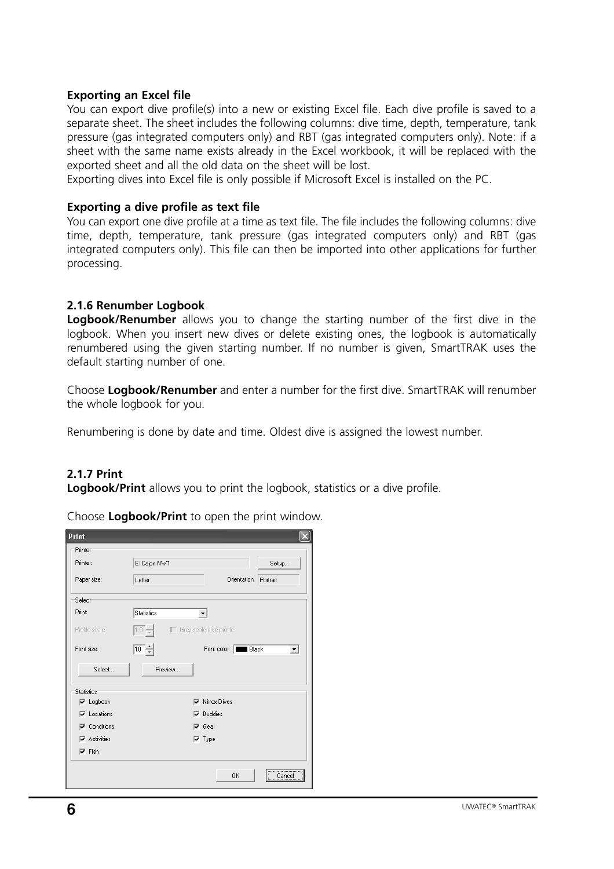#### **Exporting an Excel file**

You can export dive profile(s) into a new or existing Excel file. Each dive profile is saved to a separate sheet. The sheet includes the following columns: dive time, depth, temperature, tank pressure (gas integrated computers only) and RBT (gas integrated computers only). Note: if a sheet with the same name exists already in the Excel workbook, it will be replaced with the exported sheet and all the old data on the sheet will be lost.

Exporting dives into Excel file is only possible if Microsoft Excel is installed on the PC.

#### **Exporting a dive profile as text file**

You can export one dive profile at a time as text file. The file includes the following columns: dive time, depth, temperature, tank pressure (gas integrated computers only) and RBT (gas integrated computers only). This file can then be imported into other applications for further processing.

# **2.1.6 Renumber Logbook**

**Logbook/Renumber** allows you to change the starting number of the first dive in the logbook. When you insert new dives or delete existing ones, the logbook is automatically renumbered using the given starting number. If no number is given, SmartTRAK uses the default starting number of one.

Choose **Logbook/Renumber** and enter a number for the first dive. SmartTRAK will renumber the whole logbook for you.

Renumbering is done by date and time. Oldest dive is assigned the lowest number.

# **2.1.7 Print**

**Logbook/Print** allows you to print the logbook, statistics or a dive profile.

Choose **Logbook/Print** to open the print window.

| <b>Print</b>        |                                |                                  |                       |                      |
|---------------------|--------------------------------|----------------------------------|-----------------------|----------------------|
| Printer             |                                |                                  |                       |                      |
| Printer:            | El Cajon NW1                   |                                  |                       | Setup                |
| Paper size:         | Letter                         |                                  | Orientation: Portrait |                      |
| Select              |                                |                                  |                       |                      |
| Print:              | <b>Statistics</b>              |                                  |                       |                      |
| Profile scale:      | $\overline{1.0}$ $\frac{2}{7}$ | $\Gamma$ Grey scale dive profile |                       |                      |
| Font size:          | $\overline{10}$ $\div$         |                                  | Font color: Black     | $\blacktriangledown$ |
| Select              | Preview                        |                                  |                       |                      |
| <b>Statistics</b>   |                                |                                  |                       |                      |
| $\nabla$ Logbook    |                                | <b>▽</b> Nitrox Dives            |                       |                      |
| $\nabla$ Locations  |                                | $\nabla$ Buddies                 |                       |                      |
| $\nabla$ Conditions |                                | $\overline{\mathsf{v}}$ Gear     |                       |                      |
| $\nabla$ Activities |                                | $\nabla$ Type                    |                       |                      |
| $\nabla$ Fish       |                                |                                  |                       |                      |
|                     |                                |                                  | 0K                    | <br>Cancel           |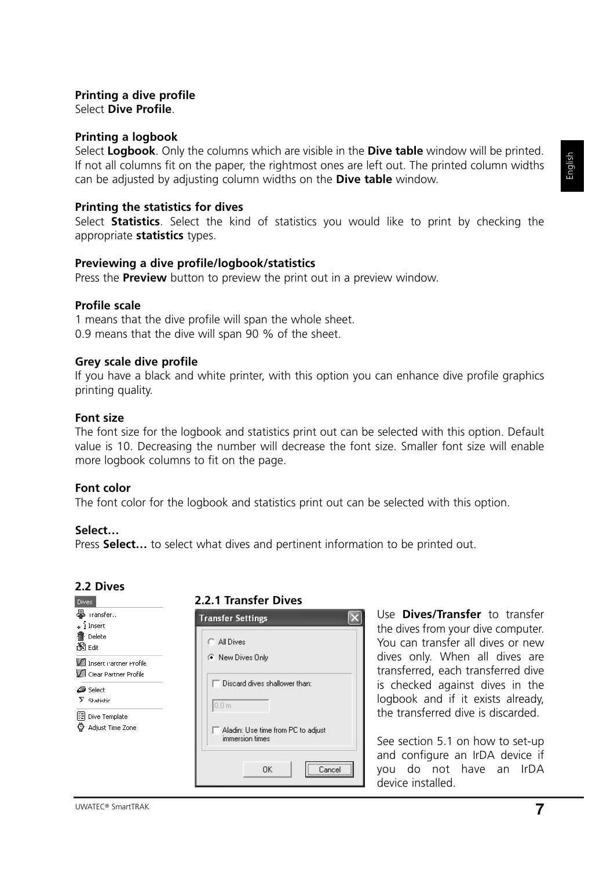#### **Printing a dive profile** Select **Dive Profile**.

## **Printing a logbook**

Select **Logbook**. Only the columns which are visible in the **Dive table** window will be printed. If not all columns fit on the paper, the rightmost ones are left out. The printed column widths can be adjusted by adjusting column widths on the **Dive table** window.

#### **Printing the statistics for dives**

Select **Statistics**. Select the kind of statistics you would like to print by checking the appropriate **statistics** types.

#### **Previewing a dive profile/logbook/statistics**

Press the **Preview** button to preview the print out in a preview window.

#### **Profile scale**

1 means that the dive profile will span the whole sheet. 0.9 means that the dive will span 90 % of the sheet.

#### **Grey scale dive profile**

If you have a black and white printer, with this option you can enhance dive profile graphics printing quality.

#### **Font size**

The font size for the logbook and statistics print out can be selected with this option. Default value is 10. Decreasing the number will decrease the font size. Smaller font size will enable more logbook columns to fit on the page.

#### **Font color**

The font color for the logbook and statistics print out can be selected with this option.

#### **Select…**

Press **Select…** to select what dives and pertinent information to be printed out.

#### **2.2 Dives**

#### **2.2.1 Transfer Dives**



Use **Dives/Transfer** to transfer the dives from your dive computer. You can transfer all dives or new dives only. When all dives are transferred, each transferred dive is checked against dives in the logbook and if it exists already, the transferred dive is discarded.

See section 5.1 on how to set-up and configure an IrDA device if you do not have an IrDA device installed.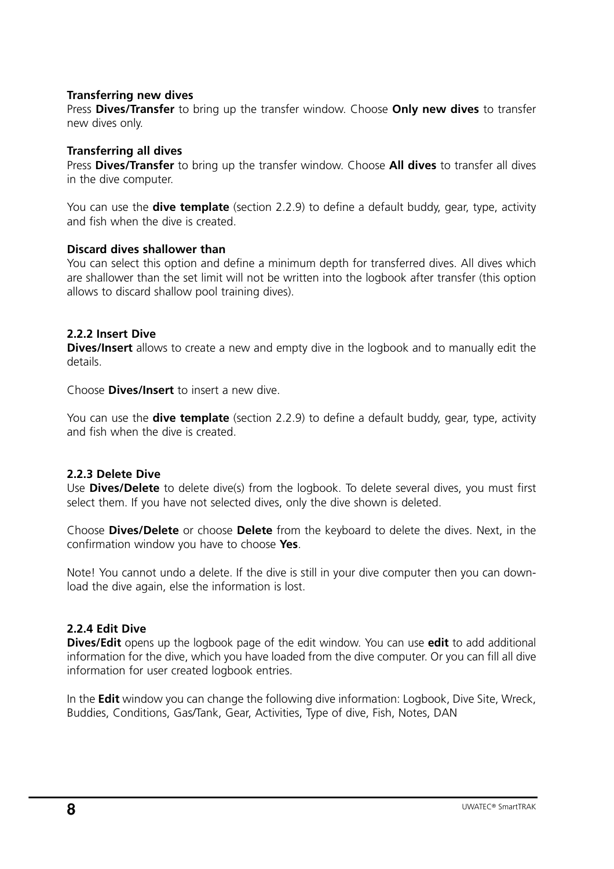## **Transferring new dives**

Press **Dives/Transfer** to bring up the transfer window. Choose **Only new dives** to transfer new dives only.

#### **Transferring all dives**

Press **Dives/Transfer** to bring up the transfer window. Choose **All dives** to transfer all dives in the dive computer.

You can use the **dive template** (section 2.2.9) to define a default buddy, gear, type, activity and fish when the dive is created.

#### **Discard dives shallower than**

You can select this option and define a minimum depth for transferred dives. All dives which are shallower than the set limit will not be written into the logbook after transfer (this option allows to discard shallow pool training dives).

# **2.2.2 Insert Dive**

**Dives/Insert** allows to create a new and empty dive in the logbook and to manually edit the details.

Choose **Dives/Insert** to insert a new dive.

You can use the **dive template** (section 2.2.9) to define a default buddy, gear, type, activity and fish when the dive is created.

# **2.2.3 Delete Dive**

Use **Dives/Delete** to delete dive(s) from the logbook. To delete several dives, you must first select them. If you have not selected dives, only the dive shown is deleted.

Choose **Dives/Delete** or choose **Delete** from the keyboard to delete the dives. Next, in the confirmation window you have to choose **Yes**.

Note! You cannot undo a delete. If the dive is still in your dive computer then you can download the dive again, else the information is lost.

# **2.2.4 Edit Dive**

**Dives/Edit** opens up the logbook page of the edit window. You can use **edit** to add additional information for the dive, which you have loaded from the dive computer. Or you can fill all dive information for user created logbook entries.

In the **Edit** window you can change the following dive information: Logbook, Dive Site, Wreck, Buddies, Conditions, Gas/Tank, Gear, Activities, Type of dive, Fish, Notes, DAN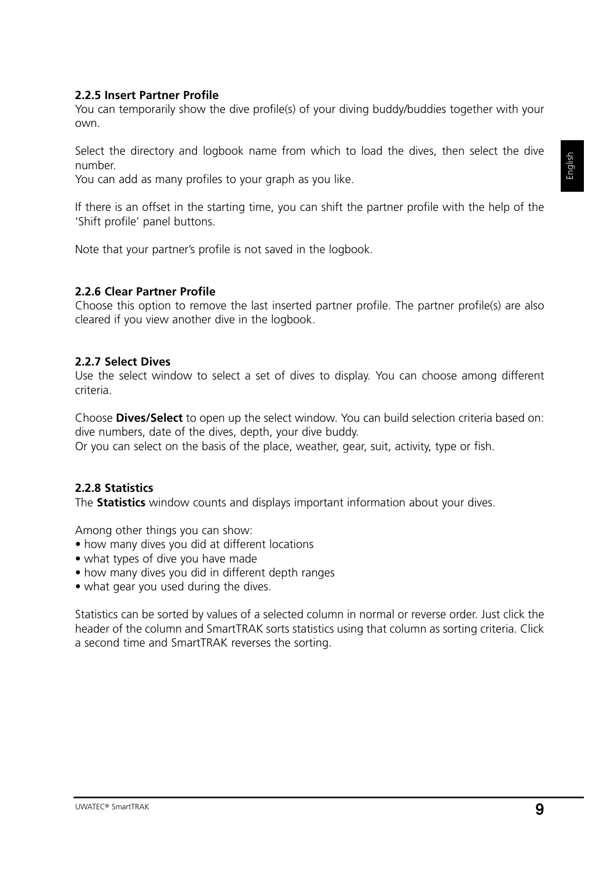# **2.2.5 Insert Partner Profile**

You can temporarily show the dive profile(s) of your diving buddy/buddies together with your own.

Select the directory and logbook name from which to load the dives, then select the dive number.

You can add as many profiles to your graph as you like.

If there is an offset in the starting time, you can shift the partner profile with the help of the 'Shift profile' panel buttons.

Note that your partner's profile is not saved in the logbook.

#### **2.2.6 Clear Partner Profile**

Choose this option to remove the last inserted partner profile. The partner profile(s) are also cleared if you view another dive in the logbook.

#### **2.2.7 Select Dives**

Use the select window to select a set of dives to display. You can choose among different criteria.

Choose **Dives/Select** to open up the select window. You can build selection criteria based on: dive numbers, date of the dives, depth, your dive buddy. Or you can select on the basis of the place, weather, gear, suit, activity, type or fish.

# **2.2.8 Statistics**

The **Statistics** window counts and displays important information about your dives.

Among other things you can show:

- how many dives you did at different locations
- what types of dive you have made
- how many dives you did in different depth ranges
- what gear you used during the dives.

Statistics can be sorted by values of a selected column in normal or reverse order. Just click the header of the column and SmartTRAK sorts statistics using that column as sorting criteria. Click a second time and SmartTRAK reverses the sorting.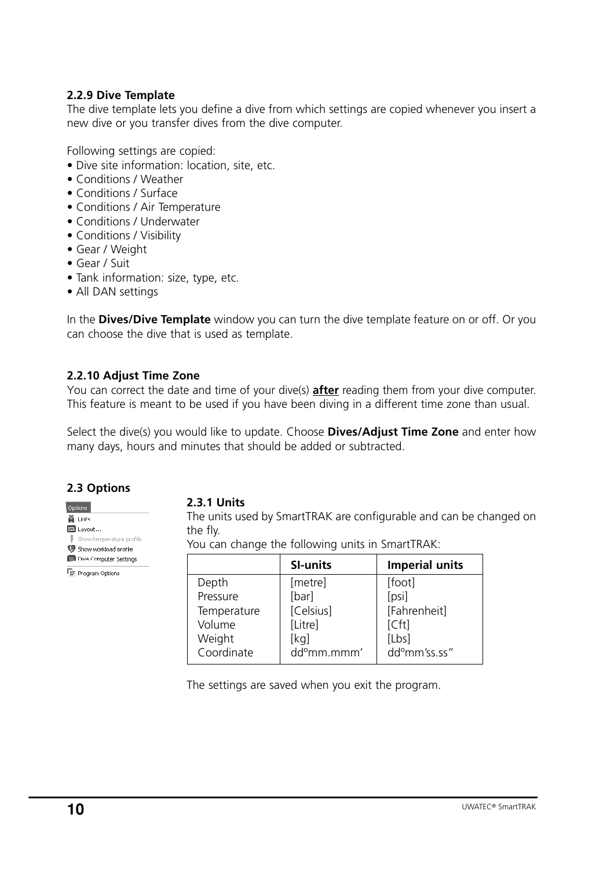# **2.2.9 Dive Template**

The dive template lets you define a dive from which settings are copied whenever you insert a new dive or you transfer dives from the dive computer.

Following settings are copied:

- Dive site information: location, site, etc.
- Conditions / Weather
- Conditions / Surface
- Conditions / Air Temperature
- Conditions / Underwater
- Conditions / Visibility
- Gear / Weight
- Gear / Suit
- Tank information: size, type, etc.
- All DAN settings

In the **Dives/Dive Template** window you can turn the dive template feature on or off. Or you can choose the dive that is used as template.

# **2.2.10 Adjust Time Zone**

You can correct the date and time of your dive(s) **after** reading them from your dive computer. This feature is meant to be used if you have been diving in a different time zone than usual.

Select the dive(s) you would like to update. Choose **Dives/Adjust Time Zone** and enter how many days, hours and minutes that should be added or subtracted.

# **2.3 Options**

Show temperature profile <sup>1</sup> Show workload profile Dive Computer Settings For Program Options

Options ka Units. **ला** tavout…

#### **2.3.1 Units**

The units used by SmartTRAK are configurable and can be changed on the fly.

You can change the following units in SmartTRAK:

|             | <b>SI-units</b>         | <b>Imperial units</b>     |
|-------------|-------------------------|---------------------------|
| Depth       | [metre]                 | [foot]                    |
| Pressure    | [bar]                   | [psi]                     |
| Temperature | [Celsius]               | [Fahrenheit]              |
| Volume      | [Litre]                 | [Cft]                     |
| Weight      | [kq]                    | [Lbs]                     |
| Coordinate  | dd <sup>o</sup> mm.mmm' | dd <sup>o</sup> mm'ss.ss" |

The settings are saved when you exit the program.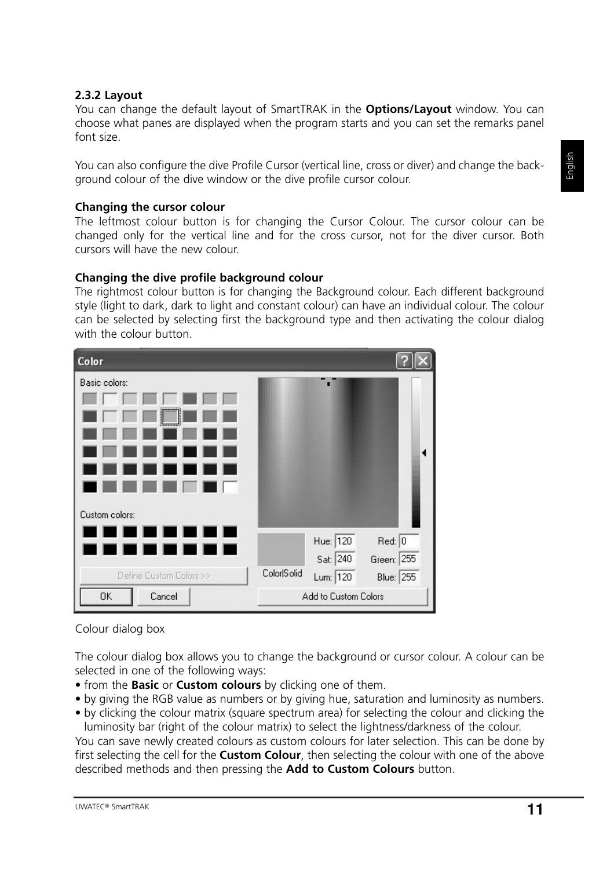#### **2.3.2 Layout**

You can change the default layout of SmartTRAK in the **Options/Layout** window. You can choose what panes are displayed when the program starts and you can set the remarks panel font size.

You can also configure the dive Profile Cursor (vertical line, cross or diver) and change the background colour of the dive window or the dive profile cursor colour.

#### **Changing the cursor colour**

The leftmost colour button is for changing the Cursor Colour. The cursor colour can be changed only for the vertical line and for the cross cursor, not for the diver cursor. Both cursors will have the new colour.

#### **Changing the dive profile background colour**

The rightmost colour button is for changing the Background colour. Each different background style (light to dark, dark to light and constant colour) can have an individual colour. The colour can be selected by selecting first the background type and then activating the colour dialog with the colour button.

| Color                                                                                                                         |                                                                                      |
|-------------------------------------------------------------------------------------------------------------------------------|--------------------------------------------------------------------------------------|
| Basic colors:                                                                                                                 |                                                                                      |
| Custom colors:<br>ш<br>the control of the<br><b>Contract Contract Contract</b><br>$\blacksquare$ 1<br>Define Custom Colors >> | Hue: 120<br>Red: 0<br>Sat: 240<br>Green: 255<br>Color Solid<br>Lum: 120<br>Blue: 255 |
| Cancel<br>OK                                                                                                                  | Add to Custom Colors                                                                 |

#### Colour dialog box

The colour dialog box allows you to change the background or cursor colour. A colour can be selected in one of the following ways:

- from the **Basic** or **Custom colours** by clicking one of them.
- by giving the RGB value as numbers or by giving hue, saturation and luminosity as numbers.
- by clicking the colour matrix (square spectrum area) for selecting the colour and clicking the luminosity bar (right of the colour matrix) to select the lightness/darkness of the colour.

You can save newly created colours as custom colours for later selection. This can be done by first selecting the cell for the **Custom Colour**, then selecting the colour with one of the above described methods and then pressing the **Add to Custom Colours** button.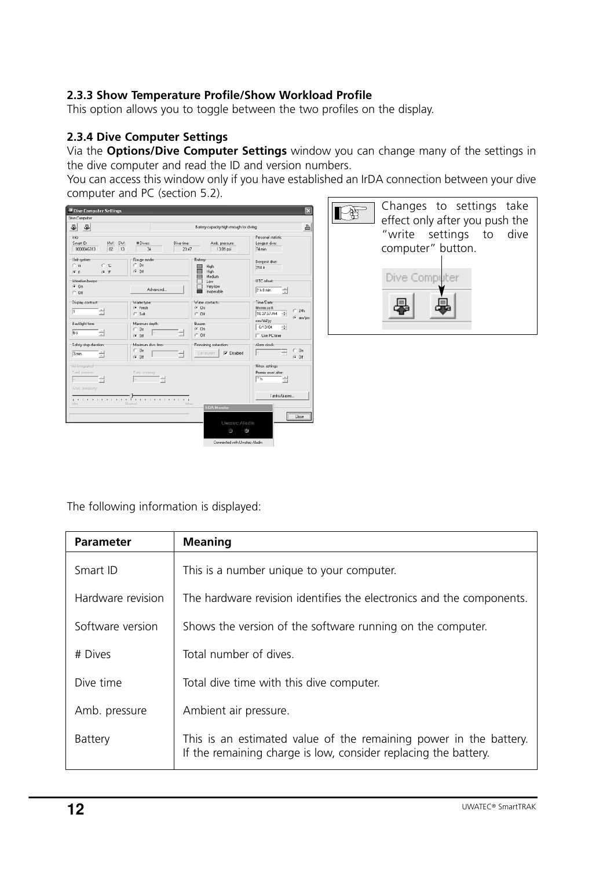# **2.3.3 Show Temperature Profile/Show Workload Profile**

This option allows you to toggle between the two profiles on the display.

# **2.3.4 Dive Computer Settings**

Via the **Options/Dive Computer Settings** window you can change many of the settings in the dive computer and read the ID and version numbers.

You can access this window only if you have established an IrDA connection between your dive computer and PC (section 5.2).



The following information is displayed:

| <b>Parameter</b>  | <b>Meaning</b>                                                                                                                       |
|-------------------|--------------------------------------------------------------------------------------------------------------------------------------|
| Smart ID          | This is a number unique to your computer.                                                                                            |
| Hardware revision | The hardware revision identifies the electronics and the components.                                                                 |
| Software version  | Shows the version of the software running on the computer.                                                                           |
| # Dives           | Total number of dives.                                                                                                               |
| Dive time         | Total dive time with this dive computer.                                                                                             |
| Amb. pressure     | Ambient air pressure.                                                                                                                |
| Battery           | This is an estimated value of the remaining power in the battery.<br>If the remaining charge is low, consider replacing the battery. |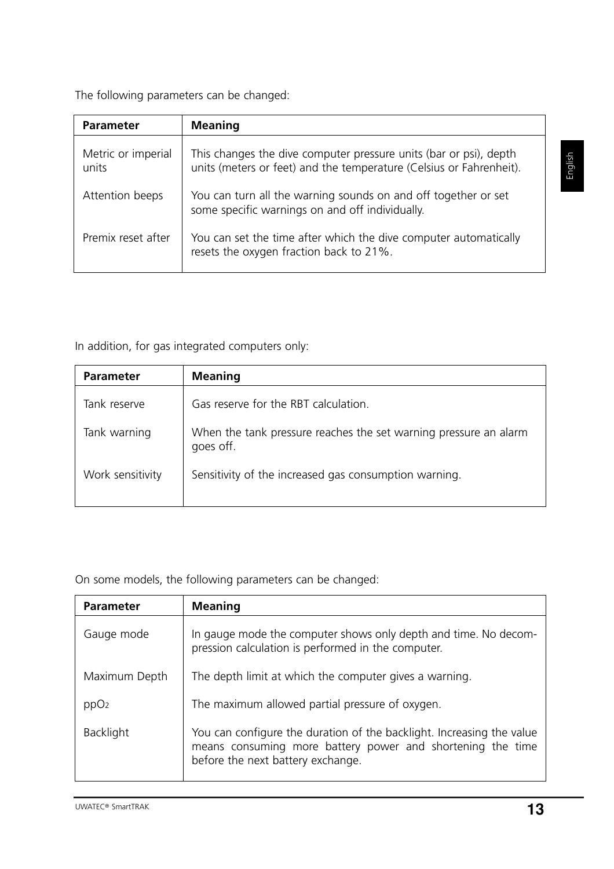The following parameters can be changed:

| <b>Parameter</b>            | <b>Meaning</b>                                                                                                                           |
|-----------------------------|------------------------------------------------------------------------------------------------------------------------------------------|
| Metric or imperial<br>units | This changes the dive computer pressure units (bar or psi), depth<br>units (meters or feet) and the temperature (Celsius or Fahrenheit). |
| Attention beeps             | You can turn all the warning sounds on and off together or set<br>some specific warnings on and off individually.                        |
| Premix reset after          | You can set the time after which the dive computer automatically<br>resets the oxygen fraction back to 21%.                              |

In addition, for gas integrated computers only:

| <b>Parameter</b> | <b>Meaning</b>                                                                |
|------------------|-------------------------------------------------------------------------------|
| Tank reserve     | Gas reserve for the RBT calculation.                                          |
| Tank warning     | When the tank pressure reaches the set warning pressure an alarm<br>goes off. |
| Work sensitivity | Sensitivity of the increased gas consumption warning.                         |

On some models, the following parameters can be changed:

| <b>Parameter</b> | <b>Meaning</b>                                                                                                                                                           |
|------------------|--------------------------------------------------------------------------------------------------------------------------------------------------------------------------|
| Gauge mode       | In gauge mode the computer shows only depth and time. No decom-<br>pression calculation is performed in the computer.                                                    |
| Maximum Depth    | The depth limit at which the computer gives a warning.                                                                                                                   |
| ppO <sub>2</sub> | The maximum allowed partial pressure of oxygen.                                                                                                                          |
| <b>Backlight</b> | You can configure the duration of the backlight. Increasing the value<br>means consuming more battery power and shortening the time<br>before the next battery exchange. |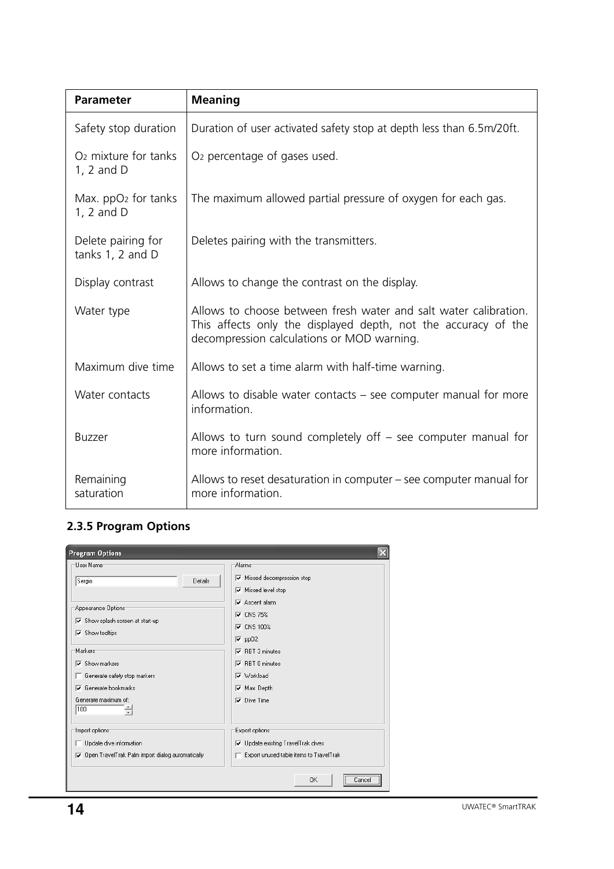| <b>Parameter</b>                               | <b>Meaning</b>                                                                                                                                                                   |
|------------------------------------------------|----------------------------------------------------------------------------------------------------------------------------------------------------------------------------------|
| Safety stop duration                           | Duration of user activated safety stop at depth less than 6.5m/20ft.                                                                                                             |
| O <sub>2</sub> mixture for tanks<br>1, 2 and D | O <sub>2</sub> percentage of gases used.                                                                                                                                         |
| Max. ppO2 for tanks<br>1, 2 and D              | The maximum allowed partial pressure of oxygen for each gas.                                                                                                                     |
| Delete pairing for<br>tanks $1, 2$ and $D$     | Deletes pairing with the transmitters.                                                                                                                                           |
| Display contrast                               | Allows to change the contrast on the display.                                                                                                                                    |
| Water type                                     | Allows to choose between fresh water and salt water calibration.<br>This affects only the displayed depth, not the accuracy of the<br>decompression calculations or MOD warning. |
| Maximum dive time                              | Allows to set a time alarm with half-time warning.                                                                                                                               |
| Water contacts                                 | Allows to disable water contacts $-$ see computer manual for more<br>information.                                                                                                |
| <b>Buzzer</b>                                  | Allows to turn sound completely off $-$ see computer manual for<br>more information.                                                                                             |
| Remaining<br>saturation                        | Allows to reset desaturation in computer – see computer manual for<br>more information.                                                                                          |

# **2.3.5 Program Options**

| <b>Program Options</b>                                  |                                                                                 |  |  |
|---------------------------------------------------------|---------------------------------------------------------------------------------|--|--|
| User Name <sup>-</sup>                                  | Alarms <sup>-</sup>                                                             |  |  |
| Sergio<br>Details                                       | $\nabla$ Missed decompression stop                                              |  |  |
|                                                         | $\nabla$ Missed level stop                                                      |  |  |
| Appearance Options                                      | $\nabla$ Ascent alarm                                                           |  |  |
| $\nabla$ Show splash screen at start-up                 | $\nabla$ CNS 75%                                                                |  |  |
| $\overline{\mathbf{v}}$ Show tooltips                   | $\nabla$ CNS 100%                                                               |  |  |
|                                                         | $\overline{v}$ pp02                                                             |  |  |
| Markers                                                 | RBT 3 minutes<br>⊽                                                              |  |  |
| Show markers<br>⊽                                       | $\nabla$ RBT 0 minutes<br><b>▽</b> Workload<br>Max. Depth<br>$\nabla$ Dive Time |  |  |
| Generate safety stop markers<br>Generate bookmarks<br>⊽ |                                                                                 |  |  |
| Generate maximum of:                                    |                                                                                 |  |  |
| 100                                                     |                                                                                 |  |  |
|                                                         |                                                                                 |  |  |
| Import options:                                         | Export options:                                                                 |  |  |
| $\Box$ Update dive information                          | <b>▽</b> Update existing TravelTrak dives                                       |  |  |
| Open TravelTrak Palm import dialog automatically<br>⊽   | Export unused table items to TravelTrak                                         |  |  |
|                                                         | OK<br>Cancel                                                                    |  |  |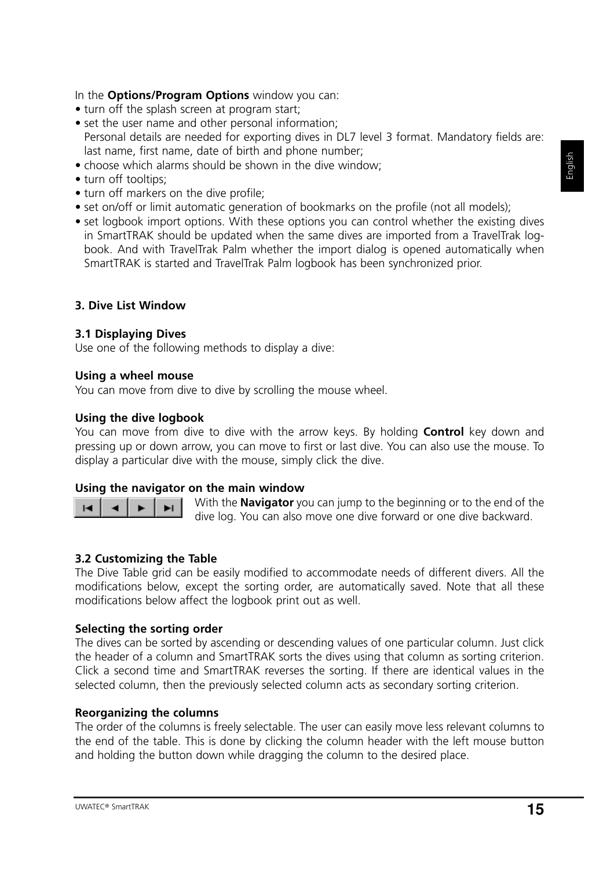- turn off the splash screen at program start;
- set the user name and other personal information; Personal details are needed for exporting dives in DL7 level 3 format. Mandatory fields are: last name, first name, date of birth and phone number;
- choose which alarms should be shown in the dive window;
- turn off tooltips:
- turn off markers on the dive profile;
- set on/off or limit automatic generation of bookmarks on the profile (not all models);
- set logbook import options. With these options you can control whether the existing dives in SmartTRAK should be updated when the same dives are imported from a TravelTrak logbook. And with TravelTrak Palm whether the import dialog is opened automatically when SmartTRAK is started and TravelTrak Palm logbook has been synchronized prior.

# **3. Dive List Window**

#### **3.1 Displaying Dives**

Use one of the following methods to display a dive:

#### **Using a wheel mouse**

You can move from dive to dive by scrolling the mouse wheel.

#### **Using the dive logbook**

You can move from dive to dive with the arrow keys. By holding **Control** key down and pressing up or down arrow, you can move to first or last dive. You can also use the mouse. To display a particular dive with the mouse, simply click the dive.

#### **Using the navigator on the main window**



With the **Navigator** you can jump to the beginning or to the end of the dive log. You can also move one dive forward or one dive backward.

# **3.2 Customizing the Table**

The Dive Table grid can be easily modified to accommodate needs of different divers. All the modifications below, except the sorting order, are automatically saved. Note that all these modifications below affect the logbook print out as well.

#### **Selecting the sorting order**

The dives can be sorted by ascending or descending values of one particular column. Just click the header of a column and SmartTRAK sorts the dives using that column as sorting criterion. Click a second time and SmartTRAK reverses the sorting. If there are identical values in the selected column, then the previously selected column acts as secondary sorting criterion.

#### **Reorganizing the columns**

The order of the columns is freely selectable. The user can easily move less relevant columns to the end of the table. This is done by clicking the column header with the left mouse button and holding the button down while dragging the column to the desired place.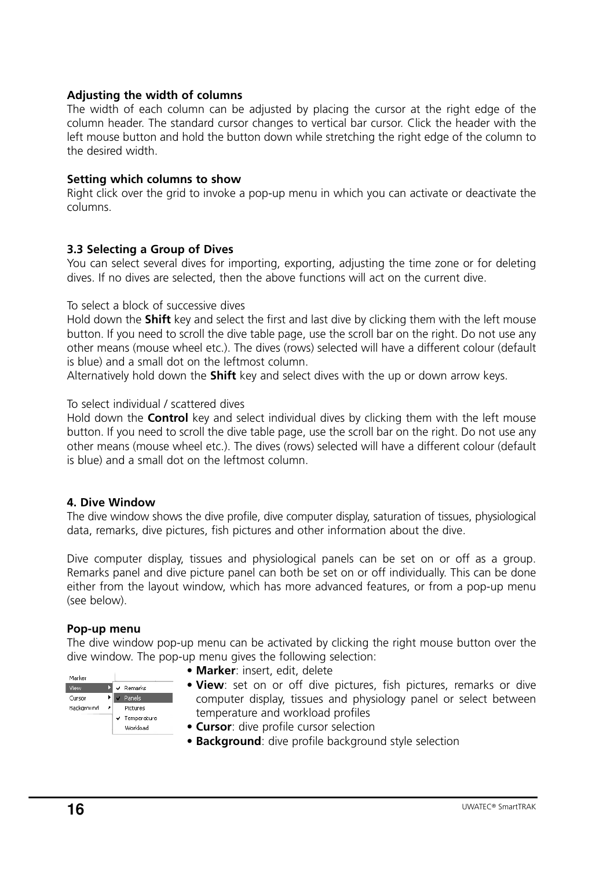# **Adjusting the width of columns**

The width of each column can be adjusted by placing the cursor at the right edge of the column header. The standard cursor changes to vertical bar cursor. Click the header with the left mouse button and hold the button down while stretching the right edge of the column to the desired width.

# **Setting which columns to show**

Right click over the grid to invoke a pop-up menu in which you can activate or deactivate the columns.

# **3.3 Selecting a Group of Dives**

You can select several dives for importing, exporting, adjusting the time zone or for deleting dives. If no dives are selected, then the above functions will act on the current dive.

#### To select a block of successive dives

Hold down the **Shift** key and select the first and last dive by clicking them with the left mouse button. If you need to scroll the dive table page, use the scroll bar on the right. Do not use any other means (mouse wheel etc.). The dives (rows) selected will have a different colour (default is blue) and a small dot on the leftmost column.

Alternatively hold down the **Shift** key and select dives with the up or down arrow keys.

#### To select individual / scattered dives

Hold down the **Control** key and select individual dives by clicking them with the left mouse button. If you need to scroll the dive table page, use the scroll bar on the right. Do not use any other means (mouse wheel etc.). The dives (rows) selected will have a different colour (default is blue) and a small dot on the leftmost column.

#### **4. Dive Window**

The dive window shows the dive profile, dive computer display, saturation of tissues, physiological data, remarks, dive pictures, fish pictures and other information about the dive.

Dive computer display, tissues and physiological panels can be set on or off as a group. Remarks panel and dive picture panel can both be set on or off individually. This can be done either from the layout window, which has more advanced features, or from a pop-up menu (see below).

#### **Pop-up menu**

The dive window pop-up menu can be activated by clicking the right mouse button over the dive window. The pop-up menu gives the following selection:



- **Marker**: insert, edit, delete
- **View**: set on or off dive pictures, fish pictures, remarks or dive computer display, tissues and physiology panel or select between temperature and workload profiles
- **Cursor**: dive profile cursor selection
- **Background**: dive profile background style selection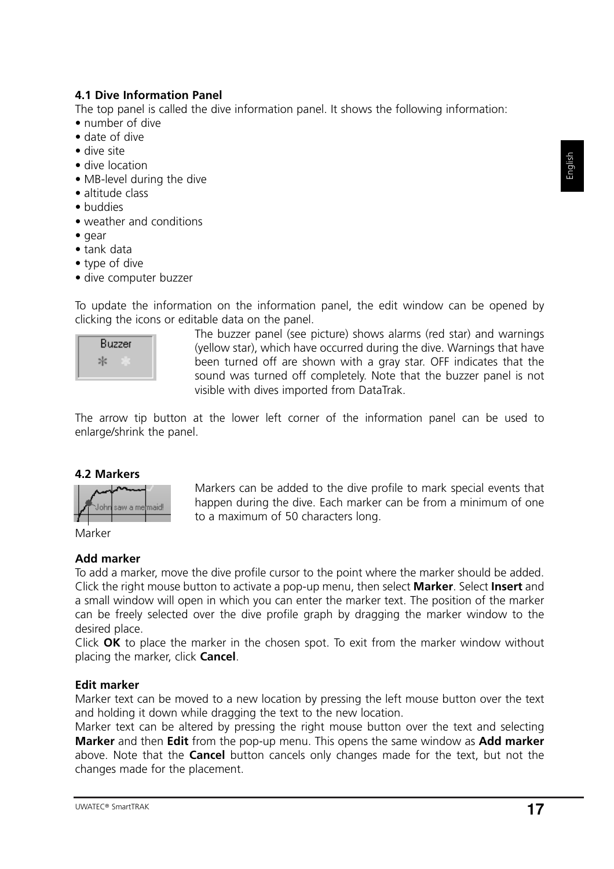# **4.1 Dive Information Panel**

The top panel is called the dive information panel. It shows the following information:

- number of dive
- date of dive
- dive site
- dive location
- MB-level during the dive
- altitude class
- buddies
- weather and conditions
- gear
- tank data
- type of dive
- dive computer buzzer

To update the information on the information panel, the edit window can be opened by clicking the icons or editable data on the panel.



The buzzer panel (see picture) shows alarms (red star) and warnings (yellow star), which have occurred during the dive. Warnings that have been turned off are shown with a gray star. OFF indicates that the sound was turned off completely. Note that the buzzer panel is not visible with dives imported from DataTrak.

The arrow tip button at the lower left corner of the information panel can be used to enlarge/shrink the panel.

# **4.2 Markers**



Markers can be added to the dive profile to mark special events that happen during the dive. Each marker can be from a minimum of one to a maximum of 50 characters long.

Marker

# **Add marker**

To add a marker, move the dive profile cursor to the point where the marker should be added. Click the right mouse button to activate a pop-up menu, then select **Marker**. Select **Insert** and a small window will open in which you can enter the marker text. The position of the marker can be freely selected over the dive profile graph by dragging the marker window to the desired place.

Click **OK** to place the marker in the chosen spot. To exit from the marker window without placing the marker, click **Cancel**.

# **Edit marker**

Marker text can be moved to a new location by pressing the left mouse button over the text and holding it down while dragging the text to the new location.

Marker text can be altered by pressing the right mouse button over the text and selecting **Marker** and then **Edit** from the pop-up menu. This opens the same window as **Add marker** above. Note that the **Cancel** button cancels only changes made for the text, but not the changes made for the placement.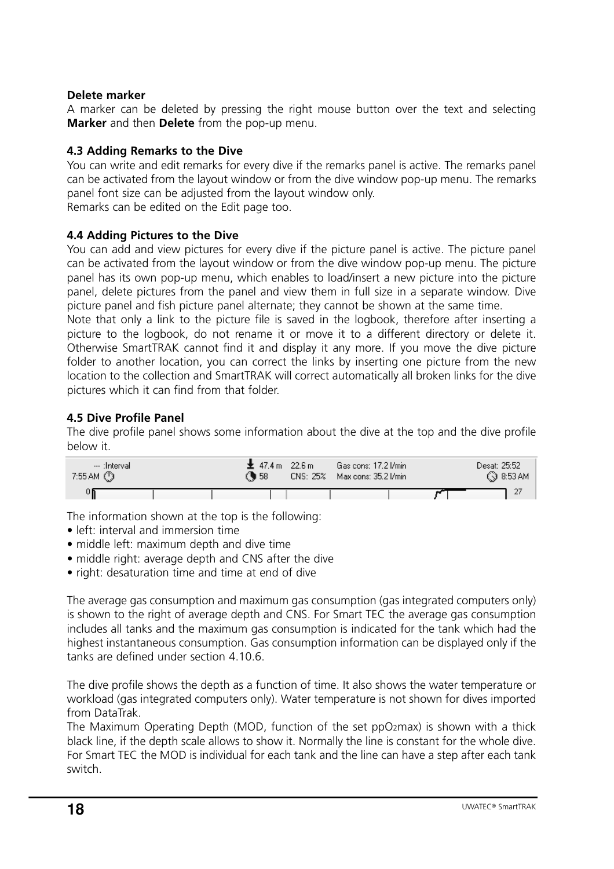# **Delete marker**

A marker can be deleted by pressing the right mouse button over the text and selecting **Marker** and then **Delete** from the pop-up menu.

# **4.3 Adding Remarks to the Dive**

You can write and edit remarks for every dive if the remarks panel is active. The remarks panel can be activated from the layout window or from the dive window pop-up menu. The remarks panel font size can be adjusted from the layout window only. Remarks can be edited on the Edit page too.

# **4.4 Adding Pictures to the Dive**

You can add and view pictures for every dive if the picture panel is active. The picture panel can be activated from the layout window or from the dive window pop-up menu. The picture panel has its own pop-up menu, which enables to load/insert a new picture into the picture panel, delete pictures from the panel and view them in full size in a separate window. Dive picture panel and fish picture panel alternate; they cannot be shown at the same time.

Note that only a link to the picture file is saved in the logbook, therefore after inserting a picture to the logbook, do not rename it or move it to a different directory or delete it. Otherwise SmartTRAK cannot find it and display it any more. If you move the dive picture folder to another location, you can correct the links by inserting one picture from the new location to the collection and SmartTRAK will correct automatically all broken links for the dive pictures which it can find from that folder.

# **4.5 Dive Profile Panel**

The dive profile panel shows some information about the dive at the top and the dive profile below it.

| --- :Intervali<br>7:55 AM ① | 主 47.4 m 22.6 m<br>€ 58 | Gas cons: 17.2 I/min<br>CNS: 25% Max cons: 35.2 l/min | Desat: 25:52<br>◯ 8:53 AM |  |
|-----------------------------|-------------------------|-------------------------------------------------------|---------------------------|--|
|                             |                         |                                                       |                           |  |

The information shown at the top is the following:

- left: interval and immersion time
- middle left: maximum depth and dive time
- middle right: average depth and CNS after the dive
- right: desaturation time and time at end of dive

The average gas consumption and maximum gas consumption (gas integrated computers only) is shown to the right of average depth and CNS. For Smart TEC the average gas consumption includes all tanks and the maximum gas consumption is indicated for the tank which had the highest instantaneous consumption. Gas consumption information can be displayed only if the tanks are defined under section 4.10.6.

The dive profile shows the depth as a function of time. It also shows the water temperature or workload (gas integrated computers only). Water temperature is not shown for dives imported from DataTrak.

The Maximum Operating Depth (MOD, function of the set ppO2max) is shown with a thick black line, if the depth scale allows to show it. Normally the line is constant for the whole dive. For Smart TEC the MOD is individual for each tank and the line can have a step after each tank switch.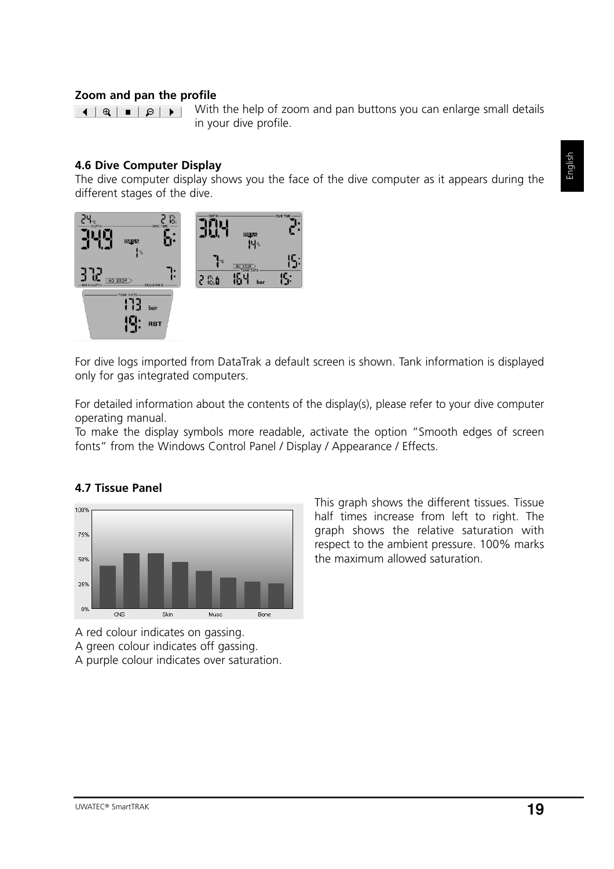#### **Zoom and pan the profile**

With the help of zoom and pan buttons you can enlarge small details in your dive profile.

#### **4.6 Dive Computer Display**

The dive computer display shows you the face of the dive computer as it appears during the different stages of the dive.



For dive logs imported from DataTrak a default screen is shown. Tank information is displayed only for gas integrated computers.

For detailed information about the contents of the display(s), please refer to your dive computer operating manual.

To make the display symbols more readable, activate the option "Smooth edges of screen fonts" from the Windows Control Panel / Display / Appearance / Effects.

#### 100% 75% 50% 25% 0%  $\overline{\text{CNS}}$ Skin Musc Bone

**4.7 Tissue Panel**

A red colour indicates on gassing. A green colour indicates off gassing.

A purple colour indicates over saturation.

This graph shows the different tissues. Tissue half times increase from left to right. The graph shows the relative saturation with respect to the ambient pressure. 100% marks the maximum allowed saturation.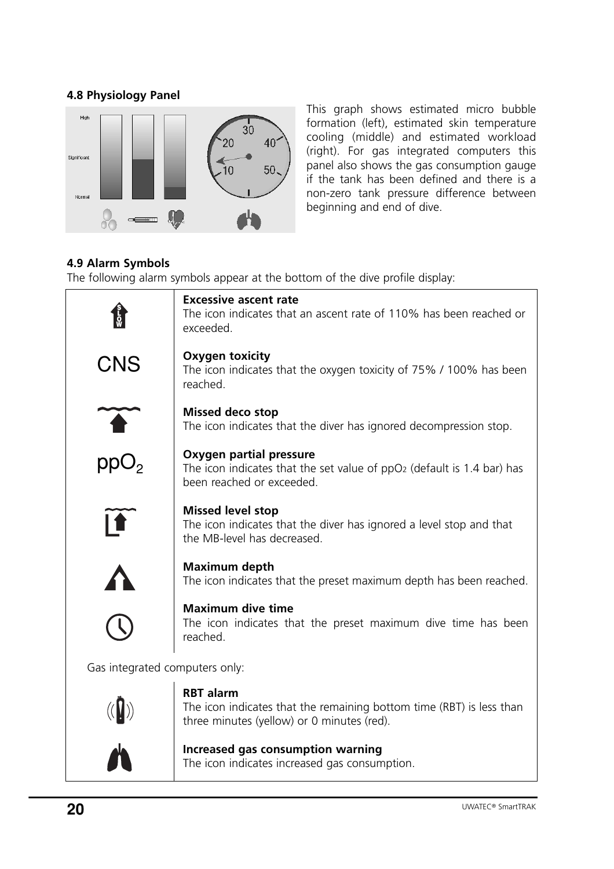# **4.8 Physiology Panel**



This graph shows estimated micro bubble formation (left), estimated skin temperature cooling (middle) and estimated workload (right). For gas integrated computers this panel also shows the gas consumption gauge if the tank has been defined and there is a non-zero tank pressure difference between beginning and end of dive.

# **4.9 Alarm Symbols**

The following alarm symbols appear at the bottom of the dive profile display:

|                                | <b>Excessive ascent rate</b><br>The icon indicates that an ascent rate of 110% has been reached or<br>exceeded.                                   |  |  |  |
|--------------------------------|---------------------------------------------------------------------------------------------------------------------------------------------------|--|--|--|
| CNS                            | <b>Oxygen toxicity</b><br>The icon indicates that the oxygen toxicity of 75% / 100% has been<br>reached.                                          |  |  |  |
|                                | <b>Missed deco stop</b><br>The icon indicates that the diver has ignored decompression stop.                                                      |  |  |  |
| ppO <sub>2</sub>               | <b>Oxygen partial pressure</b><br>The icon indicates that the set value of ppO <sub>2</sub> (default is 1.4 bar) has<br>been reached or exceeded. |  |  |  |
|                                | <b>Missed level stop</b><br>The icon indicates that the diver has ignored a level stop and that<br>the MB-level has decreased.                    |  |  |  |
|                                | <b>Maximum depth</b><br>The icon indicates that the preset maximum depth has been reached.                                                        |  |  |  |
|                                | <b>Maximum dive time</b><br>The icon indicates that the preset maximum dive time has been<br>reached.                                             |  |  |  |
| Gas integrated computers only: |                                                                                                                                                   |  |  |  |
|                                | <b>RBT</b> alarm<br>The icon indicates that the remaining bottom time (RBT) is less than<br>three minutes (yellow) or 0 minutes (red).            |  |  |  |
|                                | Increased gas consumption warning<br>The icon indicates increased gas consumption.                                                                |  |  |  |
|                                |                                                                                                                                                   |  |  |  |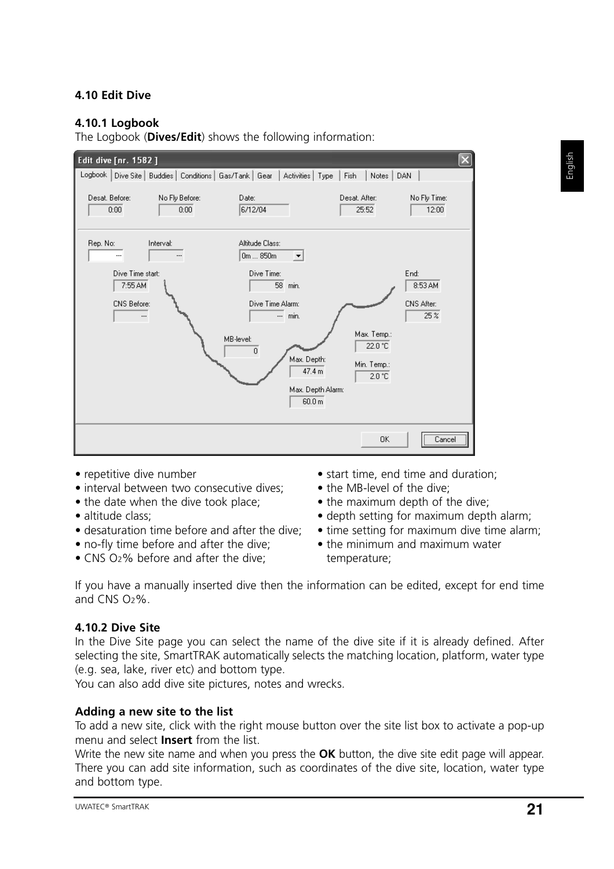# **4.10 Edit Dive**

# **4.10.1 Logbook**

The Logbook (**Dives/Edit**) shows the following information:



- repetitive dive number
- interval between two consecutive dives;
- the date when the dive took place;
- altitude class;
- desaturation time before and after the dive;
- no-fly time before and after the dive;
- CNS O2% before and after the dive;
- start time, end time and duration;
- the MB-level of the dive;
- the maximum depth of the dive;
- depth setting for maximum depth alarm;
- time setting for maximum dive time alarm;
- the minimum and maximum water temperature;

If you have a manually inserted dive then the information can be edited, except for end time and CNS O2%.

# **4.10.2 Dive Site**

In the Dive Site page you can select the name of the dive site if it is already defined. After selecting the site, SmartTRAK automatically selects the matching location, platform, water type (e.g. sea, lake, river etc) and bottom type.

You can also add dive site pictures, notes and wrecks.

# **Adding a new site to the list**

To add a new site, click with the right mouse button over the site list box to activate a pop-up menu and select **Insert** from the list.

Write the new site name and when you press the **OK** button, the dive site edit page will appear. There you can add site information, such as coordinates of the dive site, location, water type and bottom type.

English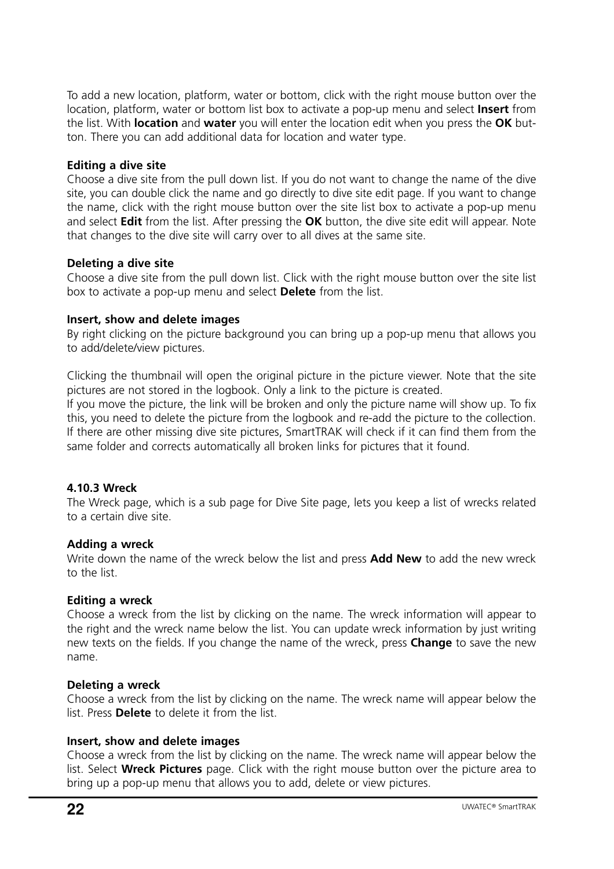To add a new location, platform, water or bottom, click with the right mouse button over the location, platform, water or bottom list box to activate a pop-up menu and select **Insert** from the list. With **location** and **water** you will enter the location edit when you press the **OK** button. There you can add additional data for location and water type.

#### **Editing a dive site**

Choose a dive site from the pull down list. If you do not want to change the name of the dive site, you can double click the name and go directly to dive site edit page. If you want to change the name, click with the right mouse button over the site list box to activate a pop-up menu and select **Edit** from the list. After pressing the **OK** button, the dive site edit will appear. Note that changes to the dive site will carry over to all dives at the same site.

#### **Deleting a dive site**

Choose a dive site from the pull down list. Click with the right mouse button over the site list box to activate a pop-up menu and select **Delete** from the list.

#### **Insert, show and delete images**

By right clicking on the picture background you can bring up a pop-up menu that allows you to add/delete/view pictures.

Clicking the thumbnail will open the original picture in the picture viewer. Note that the site pictures are not stored in the logbook. Only a link to the picture is created.

If you move the picture, the link will be broken and only the picture name will show up. To fix this, you need to delete the picture from the logbook and re-add the picture to the collection. If there are other missing dive site pictures, SmartTRAK will check if it can find them from the same folder and corrects automatically all broken links for pictures that it found.

# **4.10.3 Wreck**

The Wreck page, which is a sub page for Dive Site page, lets you keep a list of wrecks related to a certain dive site.

#### **Adding a wreck**

Write down the name of the wreck below the list and press **Add New** to add the new wreck to the list.

#### **Editing a wreck**

Choose a wreck from the list by clicking on the name. The wreck information will appear to the right and the wreck name below the list. You can update wreck information by just writing new texts on the fields. If you change the name of the wreck, press **Change** to save the new name.

#### **Deleting a wreck**

Choose a wreck from the list by clicking on the name. The wreck name will appear below the list. Press **Delete** to delete it from the list.

# **Insert, show and delete images**

Choose a wreck from the list by clicking on the name. The wreck name will appear below the list. Select **Wreck Pictures** page. Click with the right mouse button over the picture area to bring up a pop-up menu that allows you to add, delete or view pictures.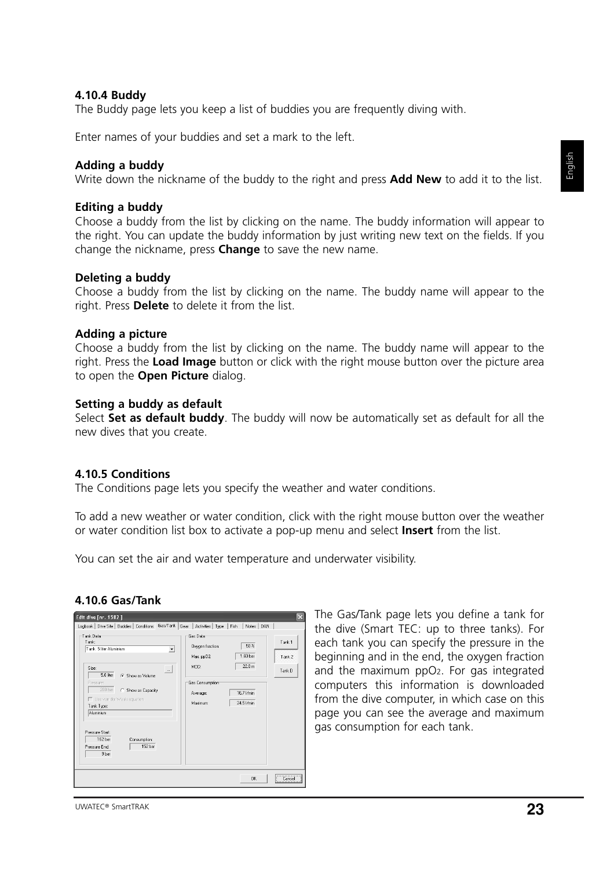#### **4.10.4 Buddy**

The Buddy page lets you keep a list of buddies you are frequently diving with.

Enter names of your buddies and set a mark to the left.

#### **Adding a buddy**

Write down the nickname of the buddy to the right and press **Add New** to add it to the list.

#### **Editing a buddy**

Choose a buddy from the list by clicking on the name. The buddy information will appear to the right. You can update the buddy information by just writing new text on the fields. If you change the nickname, press **Change** to save the new name.

#### **Deleting a buddy**

Choose a buddy from the list by clicking on the name. The buddy name will appear to the right. Press **Delete** to delete it from the list.

#### **Adding a picture**

Choose a buddy from the list by clicking on the name. The buddy name will appear to the right. Press the **Load Image** button or click with the right mouse button over the picture area to open the **Open Picture** dialog.

#### **Setting a buddy as default**

Select **Set as default buddy**. The buddy will now be automatically set as default for all the new dives that you create.

#### **4.10.5 Conditions**

The Conditions page lets you specify the weather and water conditions.

To add a new weather or water condition, click with the right mouse button over the weather or water condition list box to activate a pop-up menu and select **Insert** from the list.

You can set the air and water temperature and underwater visibility.

#### **4.10.6 Gas/Tank**



The Gas/Tank page lets you define a tank for the dive (Smart TEC: up to three tanks). For each tank you can specify the pressure in the beginning and in the end, the oxygen fraction and the maximum ppO2. For gas integrated computers this information is downloaded from the dive computer, in which case on this page you can see the average and maximum gas consumption for each tank.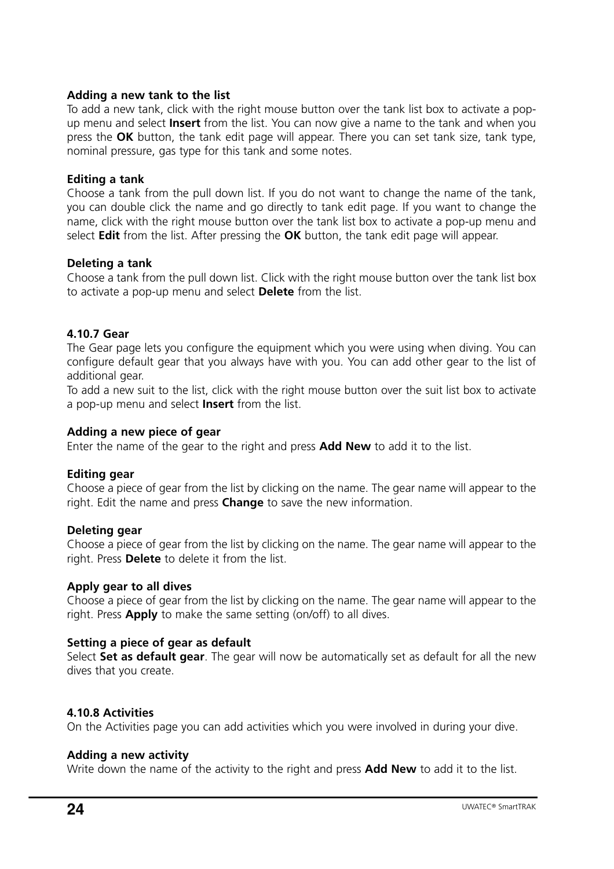#### **Adding a new tank to the list**

To add a new tank, click with the right mouse button over the tank list box to activate a popup menu and select **Insert** from the list. You can now give a name to the tank and when you press the **OK** button, the tank edit page will appear. There you can set tank size, tank type, nominal pressure, gas type for this tank and some notes.

#### **Editing a tank**

Choose a tank from the pull down list. If you do not want to change the name of the tank, you can double click the name and go directly to tank edit page. If you want to change the name, click with the right mouse button over the tank list box to activate a pop-up menu and select **Edit** from the list. After pressing the **OK** button, the tank edit page will appear.

#### **Deleting a tank**

Choose a tank from the pull down list. Click with the right mouse button over the tank list box to activate a pop-up menu and select **Delete** from the list.

# **4.10.7 Gear**

The Gear page lets you configure the equipment which you were using when diving. You can configure default gear that you always have with you. You can add other gear to the list of additional gear.

To add a new suit to the list, click with the right mouse button over the suit list box to activate a pop-up menu and select **Insert** from the list.

#### **Adding a new piece of gear**

Enter the name of the gear to the right and press **Add New** to add it to the list.

# **Editing gear**

Choose a piece of gear from the list by clicking on the name. The gear name will appear to the right. Edit the name and press **Change** to save the new information.

#### **Deleting gear**

Choose a piece of gear from the list by clicking on the name. The gear name will appear to the right. Press **Delete** to delete it from the list.

#### **Apply gear to all dives**

Choose a piece of gear from the list by clicking on the name. The gear name will appear to the right. Press **Apply** to make the same setting (on/off) to all dives.

# **Setting a piece of gear as default**

Select **Set as default gear**. The gear will now be automatically set as default for all the new dives that you create.

# **4.10.8 Activities**

On the Activities page you can add activities which you were involved in during your dive.

# **Adding a new activity**

Write down the name of the activity to the right and press **Add New** to add it to the list.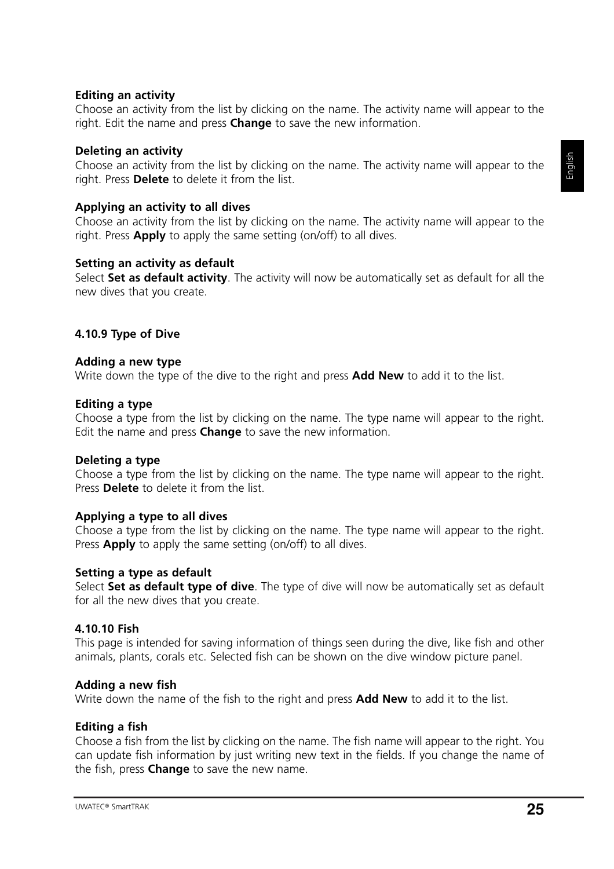# **Editing an activity**

Choose an activity from the list by clicking on the name. The activity name will appear to the right. Edit the name and press **Change** to save the new information.

#### **Deleting an activity**

Choose an activity from the list by clicking on the name. The activity name will appear to the right. Press **Delete** to delete it from the list.

#### **Applying an activity to all dives**

Choose an activity from the list by clicking on the name. The activity name will appear to the right. Press **Apply** to apply the same setting (on/off) to all dives.

#### **Setting an activity as default**

Select **Set as default activity**. The activity will now be automatically set as default for all the new dives that you create.

#### **4.10.9 Type of Dive**

#### **Adding a new type**

Write down the type of the dive to the right and press **Add New** to add it to the list.

#### **Editing a type**

Choose a type from the list by clicking on the name. The type name will appear to the right. Edit the name and press **Change** to save the new information.

#### **Deleting a type**

Choose a type from the list by clicking on the name. The type name will appear to the right. Press **Delete** to delete it from the list.

#### **Applying a type to all dives**

Choose a type from the list by clicking on the name. The type name will appear to the right. Press **Apply** to apply the same setting (on/off) to all dives.

#### **Setting a type as default**

Select **Set as default type of dive**. The type of dive will now be automatically set as default for all the new dives that you create.

#### **4.10.10 Fish**

This page is intended for saving information of things seen during the dive, like fish and other animals, plants, corals etc. Selected fish can be shown on the dive window picture panel.

#### **Adding a new fish**

Write down the name of the fish to the right and press **Add New** to add it to the list.

#### **Editing a fish**

Choose a fish from the list by clicking on the name. The fish name will appear to the right. You can update fish information by just writing new text in the fields. If you change the name of the fish, press **Change** to save the new name.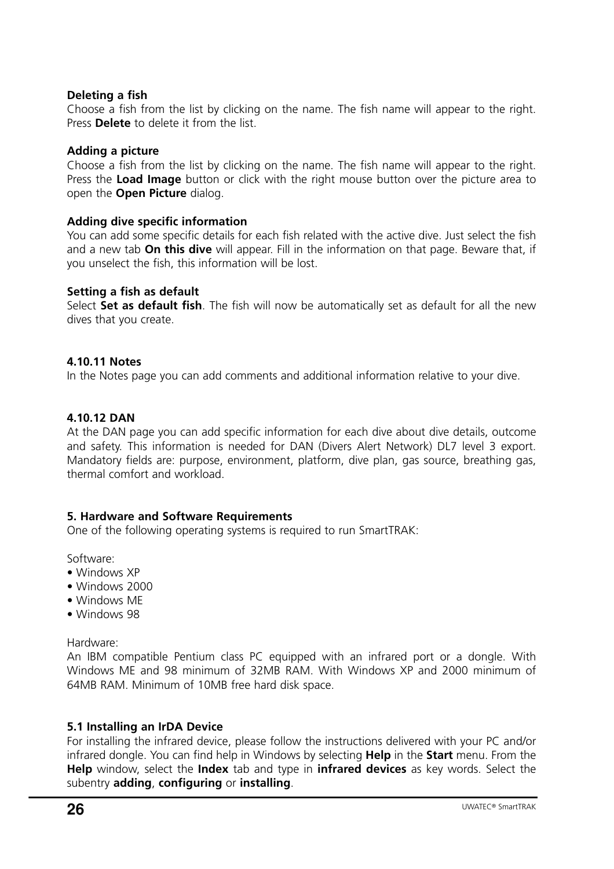#### **Deleting a fish**

Choose a fish from the list by clicking on the name. The fish name will appear to the right. Press **Delete** to delete it from the list.

#### **Adding a picture**

Choose a fish from the list by clicking on the name. The fish name will appear to the right. Press the **Load Image** button or click with the right mouse button over the picture area to open the **Open Picture** dialog.

#### **Adding dive specific information**

You can add some specific details for each fish related with the active dive. Just select the fish and a new tab **On this dive** will appear. Fill in the information on that page. Beware that, if you unselect the fish, this information will be lost.

#### **Setting a fish as default**

Select **Set as default fish**. The fish will now be automatically set as default for all the new dives that you create.

#### **4.10.11 Notes**

In the Notes page you can add comments and additional information relative to your dive.

#### **4.10.12 DAN**

At the DAN page you can add specific information for each dive about dive details, outcome and safety. This information is needed for DAN (Divers Alert Network) DL7 level 3 export. Mandatory fields are: purpose, environment, platform, dive plan, gas source, breathing gas, thermal comfort and workload.

#### **5. Hardware and Software Requirements**

One of the following operating systems is required to run SmartTRAK:

Software:

- Windows XP
- Windows 2000
- Windows ME
- Windows 98

Hardware:

An IBM compatible Pentium class PC equipped with an infrared port or a dongle. With Windows ME and 98 minimum of 32MB RAM. With Windows XP and 2000 minimum of 64MB RAM. Minimum of 10MB free hard disk space.

#### **5.1 Installing an IrDA Device**

For installing the infrared device, please follow the instructions delivered with your PC and/or infrared dongle. You can find help in Windows by selecting **Help** in the **Start** menu. From the **Help** window, select the **Index** tab and type in **infrared devices** as key words. Select the subentry **adding**, **configuring** or **installing**.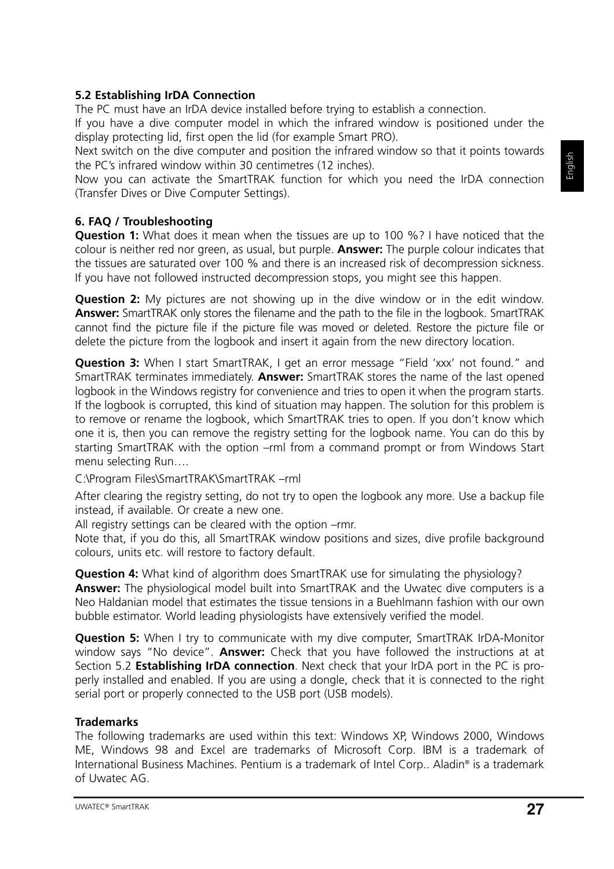# **5.2 Establishing IrDA Connection**

The PC must have an IrDA device installed before trying to establish a connection.

If you have a dive computer model in which the infrared window is positioned under the display protecting lid, first open the lid (for example Smart PRO).

Next switch on the dive computer and position the infrared window so that it points towards the PC's infrared window within 30 centimetres (12 inches).

Now you can activate the SmartTRAK function for which you need the IrDA connection (Transfer Dives or Dive Computer Settings).

# **6. FAQ / Troubleshooting**

**Question 1:** What does it mean when the tissues are up to 100 %? I have noticed that the colour is neither red nor green, as usual, but purple. **Answer:** The purple colour indicates that the tissues are saturated over 100 % and there is an increased risk of decompression sickness. If you have not followed instructed decompression stops, you might see this happen.

**Question 2:** My pictures are not showing up in the dive window or in the edit window. **Answer:** SmartTRAK only stores the filename and the path to the file in the logbook. SmartTRAK cannot find the picture file if the picture file was moved or deleted. Restore the picture file or delete the picture from the logbook and insert it again from the new directory location.

**Question 3:** When I start SmartTRAK, I get an error message "Field 'xxx' not found." and SmartTRAK terminates immediately. **Answer:** SmartTRAK stores the name of the last opened logbook in the Windows registry for convenience and tries to open it when the program starts. If the logbook is corrupted, this kind of situation may happen. The solution for this problem is to remove or rename the logbook, which SmartTRAK tries to open. If you don't know which one it is, then you can remove the registry setting for the logbook name. You can do this by starting SmartTRAK with the option –rml from a command prompt or from Windows Start menu selecting Run….

C:\Program Files\SmartTRAK\SmartTRAK –rml

After clearing the registry setting, do not try to open the logbook any more. Use a backup file instead, if available. Or create a new one.

All registry settings can be cleared with the option –rmr.

Note that, if you do this, all SmartTRAK window positions and sizes, dive profile background colours, units etc. will restore to factory default.

**Question 4:** What kind of algorithm does SmartTRAK use for simulating the physiology? **Answer:** The physiological model built into SmartTRAK and the Uwatec dive computers is a Neo Haldanian model that estimates the tissue tensions in a Buehlmann fashion with our own bubble estimator. World leading physiologists have extensively verified the model.

**Question 5:** When I try to communicate with my dive computer, SmartTRAK IrDA-Monitor window says "No device". **Answer:** Check that you have followed the instructions at at Section 5.2 **Establishing IrDA connection**. Next check that your IrDA port in the PC is properly installed and enabled. If you are using a dongle, check that it is connected to the right serial port or properly connected to the USB port (USB models).

# **Trademarks**

The following trademarks are used within this text: Windows XP, Windows 2000, Windows ME, Windows 98 and Excel are trademarks of Microsoft Corp. IBM is a trademark of International Business Machines. Pentium is a trademark of Intel Corp.. Aladin® is a trademark of Uwatec AG.